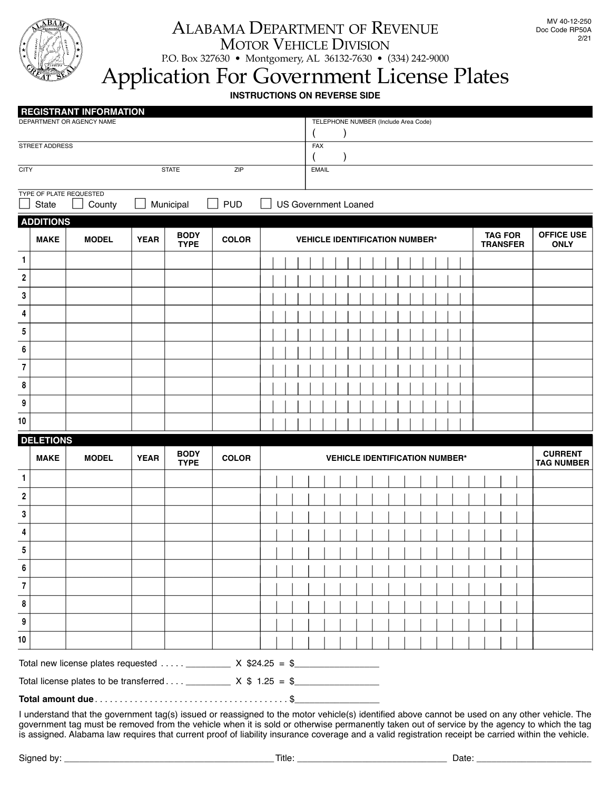

## ALABAMA DEPARTMENT OF REVENUE MOTOR VEHICLE DIVISION

P.O. Box 327630 • Montgomery, AL 36132-7630 • (334) 242-9000

## Application For Government License Plates

**INSTRUCTIONS ON REVERSE SIDE**

|                         |                                  | <b>REGISTRANT INFORMATION</b><br>DEPARTMENT OR AGENCY NAME                      |             |                            |              | TELEPHONE NUMBER (Include Area Code) |                                       |  |                                       |                                  |                                     |
|-------------------------|----------------------------------|---------------------------------------------------------------------------------|-------------|----------------------------|--------------|--------------------------------------|---------------------------------------|--|---------------------------------------|----------------------------------|-------------------------------------|
|                         | STREET ADDRESS                   |                                                                                 |             |                            |              |                                      | <b>FAX</b>                            |  |                                       |                                  |                                     |
| <b>CITY</b>             |                                  |                                                                                 |             | <b>STATE</b>               | ZIP          | <b>EMAIL</b>                         |                                       |  |                                       |                                  |                                     |
|                         |                                  |                                                                                 |             |                            |              |                                      |                                       |  |                                       |                                  |                                     |
|                         | TYPE OF PLATE REQUESTED<br>State | County                                                                          |             | Municipal                  | <b>PUD</b>   |                                      | <b>US Government Loaned</b>           |  |                                       |                                  |                                     |
|                         | <b>ADDITIONS</b>                 |                                                                                 |             |                            |              |                                      |                                       |  |                                       |                                  |                                     |
|                         | <b>MAKE</b>                      | <b>BODY</b><br><b>MODEL</b><br><b>YEAR</b><br><b>COLOR</b><br><b>TYPE</b>       |             |                            |              |                                      | <b>VEHICLE IDENTIFICATION NUMBER*</b> |  | <b>TAG FOR</b><br><b>TRANSFER</b>     | <b>OFFICE USE</b><br><b>ONLY</b> |                                     |
| 1                       |                                  |                                                                                 |             |                            |              |                                      |                                       |  |                                       |                                  |                                     |
| $\boldsymbol{2}$        |                                  |                                                                                 |             |                            |              |                                      |                                       |  |                                       |                                  |                                     |
| 3                       |                                  |                                                                                 |             |                            |              |                                      |                                       |  |                                       |                                  |                                     |
| 4                       |                                  |                                                                                 |             |                            |              |                                      |                                       |  |                                       |                                  |                                     |
| 5                       |                                  |                                                                                 |             |                            |              |                                      |                                       |  |                                       |                                  |                                     |
| 6                       |                                  |                                                                                 |             |                            |              |                                      |                                       |  |                                       |                                  |                                     |
| $\overline{\mathbf{r}}$ |                                  |                                                                                 |             |                            |              |                                      |                                       |  |                                       |                                  |                                     |
| 8                       |                                  |                                                                                 |             |                            |              |                                      |                                       |  |                                       |                                  |                                     |
| 9                       |                                  |                                                                                 |             |                            |              |                                      |                                       |  |                                       |                                  |                                     |
|                         |                                  |                                                                                 |             |                            |              |                                      |                                       |  |                                       |                                  |                                     |
| 10                      |                                  |                                                                                 |             |                            |              |                                      |                                       |  |                                       |                                  |                                     |
|                         | <b>DELETIONS</b>                 |                                                                                 |             |                            |              |                                      |                                       |  |                                       |                                  |                                     |
|                         | <b>MAKE</b>                      | <b>MODEL</b>                                                                    | <b>YEAR</b> | <b>BODY</b><br><b>TYPE</b> | <b>COLOR</b> |                                      |                                       |  | <b>VEHICLE IDENTIFICATION NUMBER*</b> |                                  | <b>CURRENT</b><br><b>TAG NUMBER</b> |
| $\mathbf{1}$            |                                  |                                                                                 |             |                            |              |                                      |                                       |  |                                       |                                  |                                     |
| 2                       |                                  |                                                                                 |             |                            |              |                                      |                                       |  |                                       |                                  |                                     |
| 3                       |                                  |                                                                                 |             |                            |              |                                      |                                       |  |                                       |                                  |                                     |
| 4                       |                                  |                                                                                 |             |                            |              |                                      |                                       |  |                                       |                                  |                                     |
| 5                       |                                  |                                                                                 |             |                            |              |                                      |                                       |  |                                       |                                  |                                     |
| $\boldsymbol{6}$        |                                  |                                                                                 |             |                            |              |                                      |                                       |  |                                       |                                  |                                     |
| $\overline{\mathbf{7}}$ |                                  |                                                                                 |             |                            |              |                                      |                                       |  |                                       |                                  |                                     |
| 8                       |                                  |                                                                                 |             |                            |              |                                      |                                       |  |                                       |                                  |                                     |
| 9                       |                                  |                                                                                 |             |                            |              |                                      |                                       |  |                                       |                                  |                                     |
| 10                      |                                  |                                                                                 |             |                            |              |                                      |                                       |  |                                       |                                  |                                     |
|                         |                                  | Total new license plates requested  ___________ X $$24.25 = $$ ________________ |             |                            |              |                                      |                                       |  |                                       |                                  |                                     |
|                         |                                  |                                                                                 |             |                            |              |                                      |                                       |  |                                       |                                  |                                     |
|                         |                                  |                                                                                 |             |                            |              |                                      |                                       |  |                                       |                                  |                                     |

government tag must be removed from the vehicle when it is sold or otherwise permanently taken out of service by the agency to which the tag is assigned. Alabama law requires that current proof of liability insurance coverage and a valid registration receipt be carried within the vehicle.